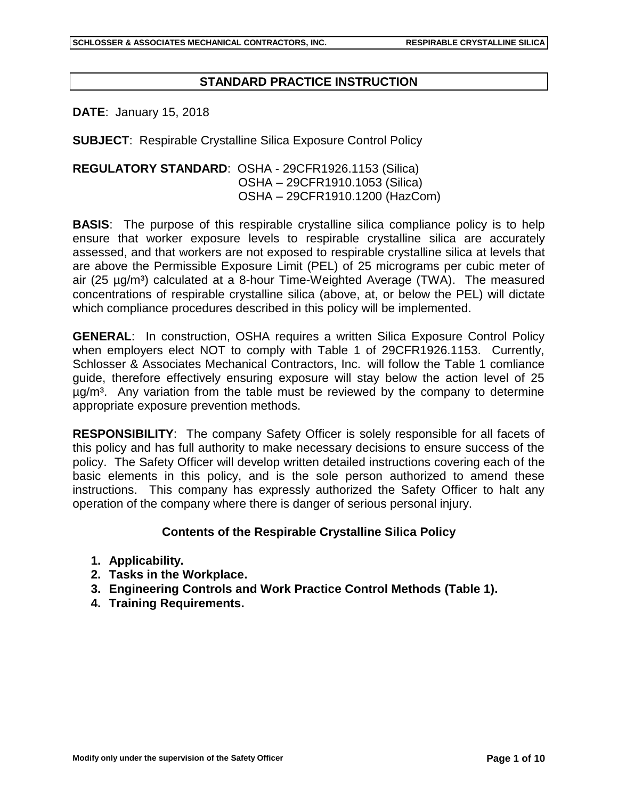## **STANDARD PRACTICE INSTRUCTION**

**DATE**: January 15, 2018

**SUBJECT**: Respirable Crystalline Silica Exposure Control Policy

**REGULATORY STANDARD**: OSHA - 29CFR1926.1153 (Silica) OSHA – 29CFR1910.1053 (Silica) OSHA – 29CFR1910.1200 (HazCom)

**BASIS:** The purpose of this respirable crystalline silica compliance policy is to help ensure that worker exposure levels to respirable crystalline silica are accurately assessed, and that workers are not exposed to respirable crystalline silica at levels that are above the Permissible Exposure Limit (PEL) of 25 micrograms per cubic meter of air (25  $\mu$ g/m<sup>3</sup>) calculated at a 8-hour Time-Weighted Average (TWA). The measured concentrations of respirable crystalline silica (above, at, or below the PEL) will dictate which compliance procedures described in this policy will be implemented.

**GENERAL**: In construction, OSHA requires a written Silica Exposure Control Policy when employers elect NOT to comply with Table 1 of 29CFR1926.1153. Currently, Schlosser & Associates Mechanical Contractors, Inc. will follow the Table 1 comliance guide, therefore effectively ensuring exposure will stay below the action level of 25  $\mu$ g/m<sup>3</sup>. Any variation from the table must be reviewed by the company to determine appropriate exposure prevention methods.

**RESPONSIBILITY**: The company Safety Officer is solely responsible for all facets of this policy and has full authority to make necessary decisions to ensure success of the policy. The Safety Officer will develop written detailed instructions covering each of the basic elements in this policy, and is the sole person authorized to amend these instructions. This company has expressly authorized the Safety Officer to halt any operation of the company where there is danger of serious personal injury.

### **Contents of the Respirable Crystalline Silica Policy**

- **1. Applicability.**
- **2. Tasks in the Workplace.**
- **3. Engineering Controls and Work Practice Control Methods (Table 1).**
- **4. Training Requirements.**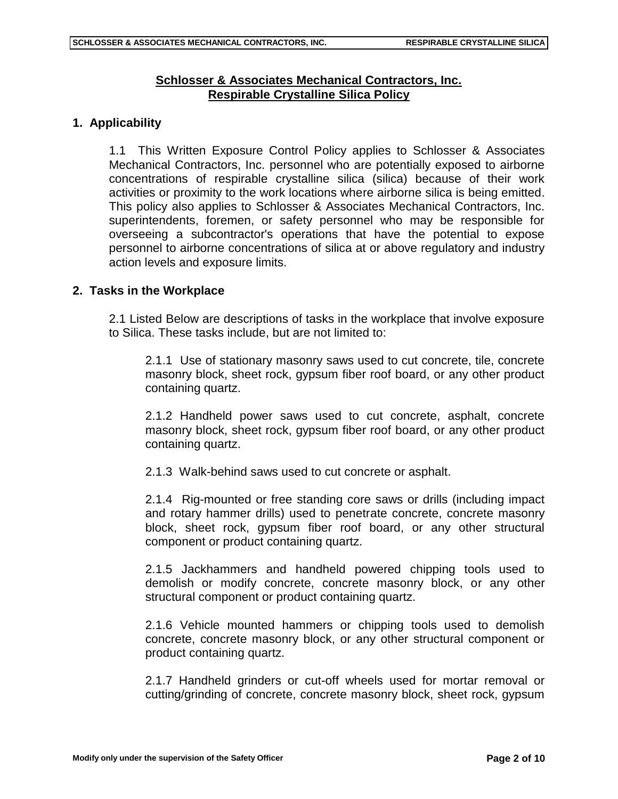# **Schlosser & Associates Mechanical Contractors, Inc. Respirable Crystalline Silica Policy**

## **1. Applicability**

1.1 This Written Exposure Control Policy applies to Schlosser & Associates Mechanical Contractors, Inc. personnel who are potentially exposed to airborne concentrations of respirable crystalline silica (silica) because of their work activities or proximity to the work locations where airborne silica is being emitted. This policy also applies to Schlosser & Associates Mechanical Contractors, Inc. superintendents, foremen, or safety personnel who may be responsible for overseeing a subcontractor's operations that have the potential to expose personnel to airborne concentrations of silica at or above regulatory and industry action levels and exposure limits.

### **2. Tasks in the Workplace**

2.1 Listed Below are descriptions of tasks in the workplace that involve exposure to Silica. These tasks include, but are not limited to:

2.1.1 Use of stationary masonry saws used to cut concrete, tile, concrete masonry block, sheet rock, gypsum fiber roof board, or any other product containing quartz.

2.1.2 Handheld power saws used to cut concrete, asphalt, concrete masonry block, sheet rock, gypsum fiber roof board, or any other product containing quartz.

2.1.3 Walk-behind saws used to cut concrete or asphalt.

2.1.4 Rig-mounted or free standing core saws or drills (including impact and rotary hammer drills) used to penetrate concrete, concrete masonry block, sheet rock, gypsum fiber roof board, or any other structural component or product containing quartz.

2.1.5 Jackhammers and handheld powered chipping tools used to demolish or modify concrete, concrete masonry block, or any other structural component or product containing quartz.

2.1.6 Vehicle mounted hammers or chipping tools used to demolish concrete, concrete masonry block, or any other structural component or product containing quartz.

2.1.7 Handheld grinders or cut-off wheels used for mortar removal or cutting/grinding of concrete, concrete masonry block, sheet rock, gypsum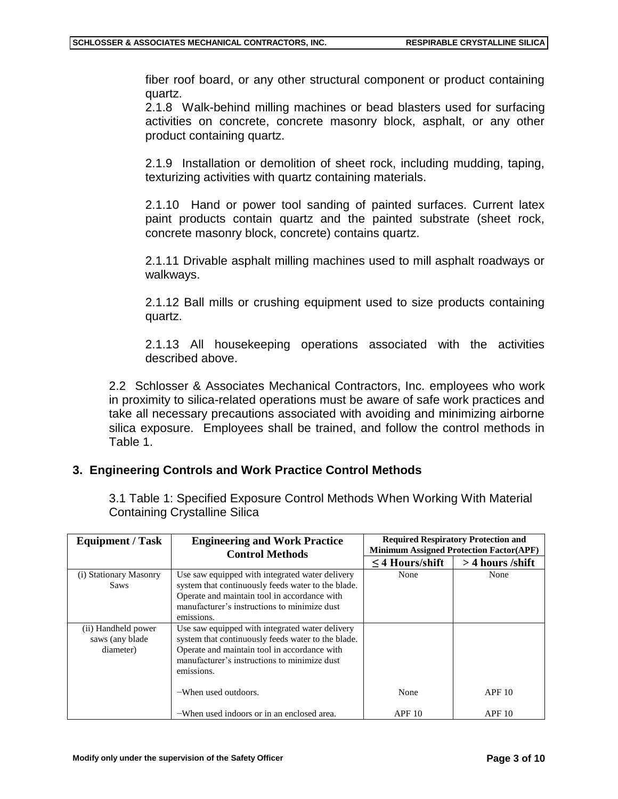fiber roof board, or any other structural component or product containing quartz.

2.1.8 Walk-behind milling machines or bead blasters used for surfacing activities on concrete, concrete masonry block, asphalt, or any other product containing quartz.

2.1.9 Installation or demolition of sheet rock, including mudding, taping, texturizing activities with quartz containing materials.

2.1.10 Hand or power tool sanding of painted surfaces. Current latex paint products contain quartz and the painted substrate (sheet rock, concrete masonry block, concrete) contains quartz.

2.1.11 Drivable asphalt milling machines used to mill asphalt roadways or walkways.

2.1.12 Ball mills or crushing equipment used to size products containing quartz.

2.1.13 All housekeeping operations associated with the activities described above.

2.2 Schlosser & Associates Mechanical Contractors, Inc. employees who work in proximity to silica-related operations must be aware of safe work practices and take all necessary precautions associated with avoiding and minimizing airborne silica exposure. Employees shall be trained, and follow the control methods in Table 1.

# **3. Engineering Controls and Work Practice Control Methods**

3.1 Table 1: Specified Exposure Control Methods When Working With Material Containing Crystalline Silica

| <b>Equipment / Task</b>                              | <b>Engineering and Work Practice</b><br><b>Control Methods</b>                                                                                                                                                      | <b>Required Respiratory Protection and</b><br><b>Minimum Assigned Protection Factor(APF)</b> |                    |
|------------------------------------------------------|---------------------------------------------------------------------------------------------------------------------------------------------------------------------------------------------------------------------|----------------------------------------------------------------------------------------------|--------------------|
|                                                      |                                                                                                                                                                                                                     | $\leq$ 4 Hours/shift                                                                         | $>$ 4 hours /shift |
| (i) Stationary Masonry<br><b>Saws</b>                | Use saw equipped with integrated water delivery<br>system that continuously feeds water to the blade.<br>Operate and maintain tool in accordance with<br>manufacturer's instructions to minimize dust<br>emissions. | None                                                                                         | None               |
| (ii) Handheld power<br>saws (any blade)<br>diameter) | Use saw equipped with integrated water delivery<br>system that continuously feeds water to the blade.<br>Operate and maintain tool in accordance with<br>manufacturer's instructions to minimize dust<br>emissions. |                                                                                              |                    |
|                                                      | -When used outdoors.                                                                                                                                                                                                | None                                                                                         | APF10              |
|                                                      | -When used indoors or in an enclosed area.                                                                                                                                                                          | APF10                                                                                        | APF10              |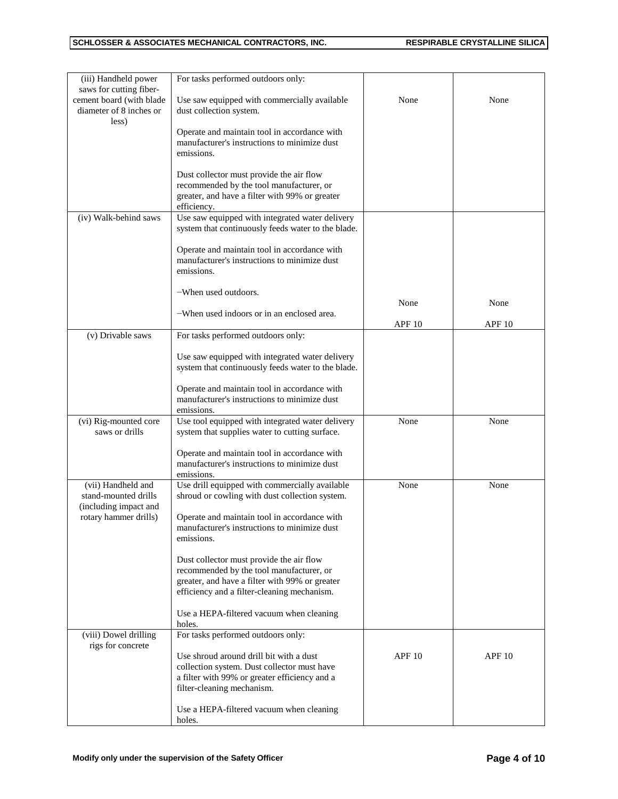| (iii) Handheld power                                | For tasks performed outdoors only:                                                                 |                   |                   |
|-----------------------------------------------------|----------------------------------------------------------------------------------------------------|-------------------|-------------------|
| saws for cutting fiber-                             |                                                                                                    |                   |                   |
| cement board (with blade<br>diameter of 8 inches or | Use saw equipped with commercially available<br>dust collection system.                            | None              | None              |
| less)                                               |                                                                                                    |                   |                   |
|                                                     | Operate and maintain tool in accordance with                                                       |                   |                   |
|                                                     | manufacturer's instructions to minimize dust<br>emissions.                                         |                   |                   |
|                                                     |                                                                                                    |                   |                   |
|                                                     | Dust collector must provide the air flow                                                           |                   |                   |
|                                                     | recommended by the tool manufacturer, or                                                           |                   |                   |
|                                                     | greater, and have a filter with 99% or greater                                                     |                   |                   |
| (iv) Walk-behind saws                               | efficiency.<br>Use saw equipped with integrated water delivery                                     |                   |                   |
|                                                     | system that continuously feeds water to the blade.                                                 |                   |                   |
|                                                     |                                                                                                    |                   |                   |
|                                                     | Operate and maintain tool in accordance with                                                       |                   |                   |
|                                                     | manufacturer's instructions to minimize dust<br>emissions.                                         |                   |                   |
|                                                     |                                                                                                    |                   |                   |
|                                                     | -When used outdoors.                                                                               |                   |                   |
|                                                     | -When used indoors or in an enclosed area.                                                         | None              | None              |
|                                                     |                                                                                                    | APF <sub>10</sub> | APF <sub>10</sub> |
| (v) Drivable saws                                   | For tasks performed outdoors only:                                                                 |                   |                   |
|                                                     |                                                                                                    |                   |                   |
|                                                     | Use saw equipped with integrated water delivery                                                    |                   |                   |
|                                                     | system that continuously feeds water to the blade.                                                 |                   |                   |
|                                                     | Operate and maintain tool in accordance with                                                       |                   |                   |
|                                                     | manufacturer's instructions to minimize dust                                                       |                   |                   |
|                                                     | emissions.                                                                                         | None              | None              |
| (vi) Rig-mounted core<br>saws or drills             | Use tool equipped with integrated water delivery<br>system that supplies water to cutting surface. |                   |                   |
|                                                     |                                                                                                    |                   |                   |
|                                                     | Operate and maintain tool in accordance with                                                       |                   |                   |
|                                                     | manufacturer's instructions to minimize dust<br>emissions.                                         |                   |                   |
| (vii) Handheld and                                  | Use drill equipped with commercially available                                                     | None              | None              |
| stand-mounted drills                                | shroud or cowling with dust collection system.                                                     |                   |                   |
| (including impact and                               |                                                                                                    |                   |                   |
| rotary hammer drills)                               | Operate and maintain tool in accordance with<br>manufacturer's instructions to minimize dust       |                   |                   |
|                                                     | emissions.                                                                                         |                   |                   |
|                                                     |                                                                                                    |                   |                   |
|                                                     | Dust collector must provide the air flow                                                           |                   |                   |
|                                                     | recommended by the tool manufacturer, or<br>greater, and have a filter with 99% or greater         |                   |                   |
|                                                     | efficiency and a filter-cleaning mechanism.                                                        |                   |                   |
|                                                     |                                                                                                    |                   |                   |
|                                                     | Use a HEPA-filtered vacuum when cleaning<br>holes.                                                 |                   |                   |
| (viii) Dowel drilling                               | For tasks performed outdoors only:                                                                 |                   |                   |
| rigs for concrete                                   |                                                                                                    |                   |                   |
|                                                     | Use shroud around drill bit with a dust                                                            | <b>APF 10</b>     | <b>APF 10</b>     |
|                                                     | collection system. Dust collector must have<br>a filter with 99% or greater efficiency and a       |                   |                   |
|                                                     | filter-cleaning mechanism.                                                                         |                   |                   |
|                                                     |                                                                                                    |                   |                   |
|                                                     | Use a HEPA-filtered vacuum when cleaning<br>holes.                                                 |                   |                   |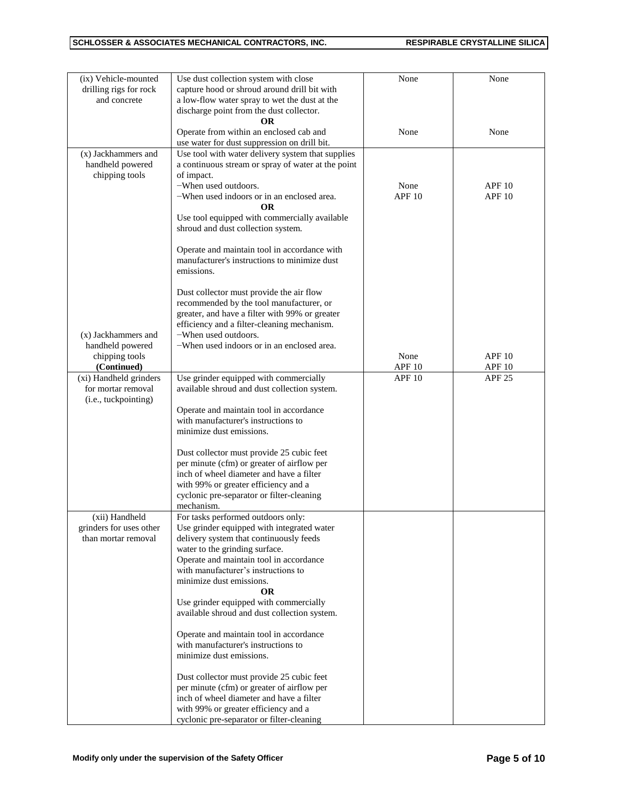| (ix) Vehicle-mounted    | Use dust collection system with close              | None              | None              |
|-------------------------|----------------------------------------------------|-------------------|-------------------|
| drilling rigs for rock  | capture hood or shroud around drill bit with       |                   |                   |
| and concrete            | a low-flow water spray to wet the dust at the      |                   |                   |
|                         | discharge point from the dust collector.           |                   |                   |
|                         |                                                    |                   |                   |
|                         | <b>OR</b>                                          | None              |                   |
|                         | Operate from within an enclosed cab and            |                   | None              |
|                         | use water for dust suppression on drill bit.       |                   |                   |
| (x) Jackhammers and     | Use tool with water delivery system that supplies  |                   |                   |
| handheld powered        | a continuous stream or spray of water at the point |                   |                   |
| chipping tools          | of impact.                                         |                   |                   |
|                         | -When used outdoors.                               | None              | <b>APF 10</b>     |
|                         | -When used indoors or in an enclosed area.         | APF <sub>10</sub> | <b>APF 10</b>     |
|                         | <b>OR</b>                                          |                   |                   |
|                         | Use tool equipped with commercially available      |                   |                   |
|                         | shroud and dust collection system.                 |                   |                   |
|                         |                                                    |                   |                   |
|                         | Operate and maintain tool in accordance with       |                   |                   |
|                         | manufacturer's instructions to minimize dust       |                   |                   |
|                         | emissions.                                         |                   |                   |
|                         |                                                    |                   |                   |
|                         | Dust collector must provide the air flow           |                   |                   |
|                         | recommended by the tool manufacturer, or           |                   |                   |
|                         | greater, and have a filter with 99% or greater     |                   |                   |
|                         | efficiency and a filter-cleaning mechanism.        |                   |                   |
| (x) Jackhammers and     | -When used outdoors.                               |                   |                   |
| handheld powered        | -When used indoors or in an enclosed area.         |                   |                   |
| chipping tools          |                                                    | None              | <b>APF 10</b>     |
| (Continued)             |                                                    | APF <sub>10</sub> | APF <sub>10</sub> |
| (xi) Handheld grinders  | Use grinder equipped with commercially             | APF <sub>10</sub> | <b>APF 25</b>     |
| for mortar removal      | available shroud and dust collection system.       |                   |                   |
| (i.e., tuckpointing)    |                                                    |                   |                   |
|                         | Operate and maintain tool in accordance            |                   |                   |
|                         | with manufacturer's instructions to                |                   |                   |
|                         | minimize dust emissions.                           |                   |                   |
|                         |                                                    |                   |                   |
|                         | Dust collector must provide 25 cubic feet          |                   |                   |
|                         | per minute (cfm) or greater of airflow per         |                   |                   |
|                         | inch of wheel diameter and have a filter           |                   |                   |
|                         | with 99% or greater efficiency and a               |                   |                   |
|                         |                                                    |                   |                   |
|                         | cyclonic pre-separator or filter-cleaning          |                   |                   |
|                         | mechanism.                                         |                   |                   |
| (xii) Handheld          | For tasks performed outdoors only:                 |                   |                   |
| grinders for uses other | Use grinder equipped with integrated water         |                   |                   |
| than mortar removal     | delivery system that continuously feeds            |                   |                   |
|                         | water to the grinding surface.                     |                   |                   |
|                         | Operate and maintain tool in accordance            |                   |                   |
|                         | with manufacturer's instructions to                |                   |                   |
|                         | minimize dust emissions.                           |                   |                   |
|                         | <b>OR</b>                                          |                   |                   |
|                         | Use grinder equipped with commercially             |                   |                   |
|                         | available shroud and dust collection system.       |                   |                   |
|                         |                                                    |                   |                   |
|                         | Operate and maintain tool in accordance            |                   |                   |
|                         | with manufacturer's instructions to                |                   |                   |
|                         | minimize dust emissions.                           |                   |                   |
|                         |                                                    |                   |                   |
|                         | Dust collector must provide 25 cubic feet          |                   |                   |
|                         | per minute (cfm) or greater of airflow per         |                   |                   |
|                         | inch of wheel diameter and have a filter           |                   |                   |
|                         | with 99% or greater efficiency and a               |                   |                   |
|                         | cyclonic pre-separator or filter-cleaning          |                   |                   |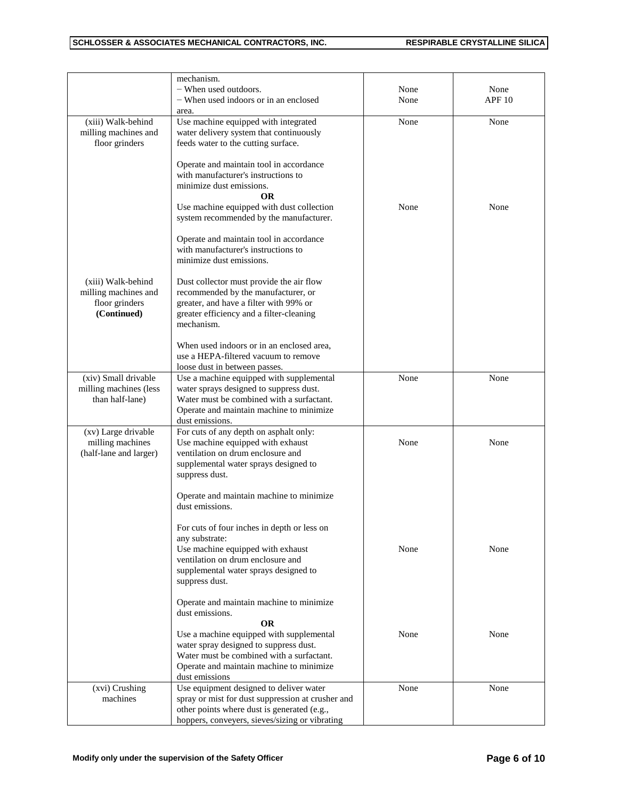|                                                                   | mechanism.<br>$-$ When used outdoors.<br>- When used indoors or in an enclosed<br>area.                                                                                                                    | None<br>None | None<br>APF10 |
|-------------------------------------------------------------------|------------------------------------------------------------------------------------------------------------------------------------------------------------------------------------------------------------|--------------|---------------|
| (xiii) Walk-behind<br>milling machines and<br>floor grinders      | Use machine equipped with integrated<br>water delivery system that continuously<br>feeds water to the cutting surface.                                                                                     | None         | None          |
|                                                                   | Operate and maintain tool in accordance<br>with manufacturer's instructions to<br>minimize dust emissions.<br><b>OR</b><br>Use machine equipped with dust collection                                       | None         | None          |
|                                                                   | system recommended by the manufacturer.<br>Operate and maintain tool in accordance<br>with manufacturer's instructions to                                                                                  |              |               |
| (xiii) Walk-behind                                                | minimize dust emissions.<br>Dust collector must provide the air flow                                                                                                                                       |              |               |
| milling machines and<br>floor grinders<br>(Continued)             | recommended by the manufacturer, or<br>greater, and have a filter with 99% or<br>greater efficiency and a filter-cleaning<br>mechanism.                                                                    |              |               |
|                                                                   | When used indoors or in an enclosed area,<br>use a HEPA-filtered vacuum to remove<br>loose dust in between passes.                                                                                         |              |               |
| (xiv) Small drivable<br>milling machines (less<br>than half-lane) | Use a machine equipped with supplemental<br>water sprays designed to suppress dust.<br>Water must be combined with a surfactant.<br>Operate and maintain machine to minimize<br>dust emissions.            | None         | None          |
| (xv) Large drivable<br>milling machines<br>(half-lane and larger) | For cuts of any depth on asphalt only:<br>Use machine equipped with exhaust<br>ventilation on drum enclosure and<br>supplemental water sprays designed to<br>suppress dust.                                | None         | None          |
|                                                                   | Operate and maintain machine to minimize<br>dust emissions.                                                                                                                                                |              |               |
|                                                                   | For cuts of four inches in depth or less on<br>any substrate:<br>Use machine equipped with exhaust<br>ventilation on drum enclosure and<br>supplemental water sprays designed to<br>suppress dust.         | None         | None          |
|                                                                   | Operate and maintain machine to minimize<br>dust emissions.                                                                                                                                                |              |               |
|                                                                   | <b>OR</b><br>Use a machine equipped with supplemental<br>water spray designed to suppress dust.<br>Water must be combined with a surfactant.<br>Operate and maintain machine to minimize<br>dust emissions | None         | None          |
| (xvi) Crushing<br>machines                                        | Use equipment designed to deliver water<br>spray or mist for dust suppression at crusher and<br>other points where dust is generated (e.g.,<br>hoppers, conveyers, sieves/sizing or vibrating              | None         | None          |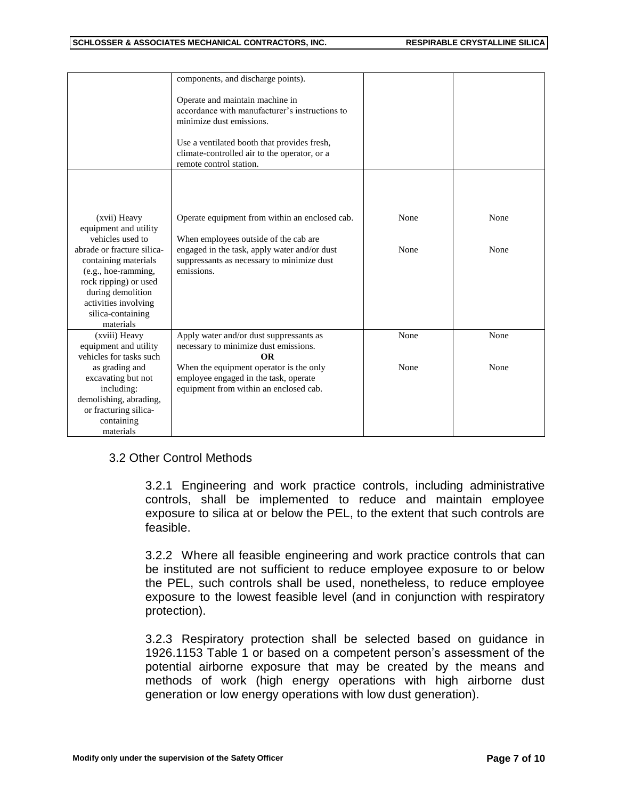|                                                                                                                                                                                                                                                | components, and discharge points).                                                                                                                                                                                                      |              |              |
|------------------------------------------------------------------------------------------------------------------------------------------------------------------------------------------------------------------------------------------------|-----------------------------------------------------------------------------------------------------------------------------------------------------------------------------------------------------------------------------------------|--------------|--------------|
|                                                                                                                                                                                                                                                | Operate and maintain machine in<br>accordance with manufacturer's instructions to<br>minimize dust emissions.<br>Use a ventilated booth that provides fresh,<br>climate-controlled air to the operator, or a<br>remote control station. |              |              |
| (xvii) Heavy<br>equipment and utility<br>vehicles used to<br>abrade or fracture silica-<br>containing materials<br>(e.g., hoe-ramming,<br>rock ripping) or used<br>during demolition<br>activities involving<br>silica-containing<br>materials | Operate equipment from within an enclosed cab.<br>When employees outside of the cab are<br>engaged in the task, apply water and/or dust<br>suppressants as necessary to minimize dust<br>emissions.                                     | None<br>None | None<br>None |
| (xviii) Heavy<br>equipment and utility<br>vehicles for tasks such                                                                                                                                                                              | Apply water and/or dust suppressants as<br>necessary to minimize dust emissions.<br><b>OR</b>                                                                                                                                           | None         | None         |
| as grading and<br>excavating but not<br>including:<br>demolishing, abrading,<br>or fracturing silica-<br>containing                                                                                                                            | When the equipment operator is the only<br>employee engaged in the task, operate<br>equipment from within an enclosed cab.                                                                                                              | None         | None         |
| materials                                                                                                                                                                                                                                      |                                                                                                                                                                                                                                         |              |              |

# 3.2 Other Control Methods

3.2.1 Engineering and work practice controls, including administrative controls, shall be implemented to reduce and maintain employee exposure to silica at or below the PEL, to the extent that such controls are feasible.

3.2.2 Where all feasible engineering and work practice controls that can be instituted are not sufficient to reduce employee exposure to or below the PEL, such controls shall be used, nonetheless, to reduce employee exposure to the lowest feasible level (and in conjunction with respiratory protection).

3.2.3 Respiratory protection shall be selected based on guidance in 1926.1153 Table 1 or based on a competent person's assessment of the potential airborne exposure that may be created by the means and methods of work (high energy operations with high airborne dust generation or low energy operations with low dust generation).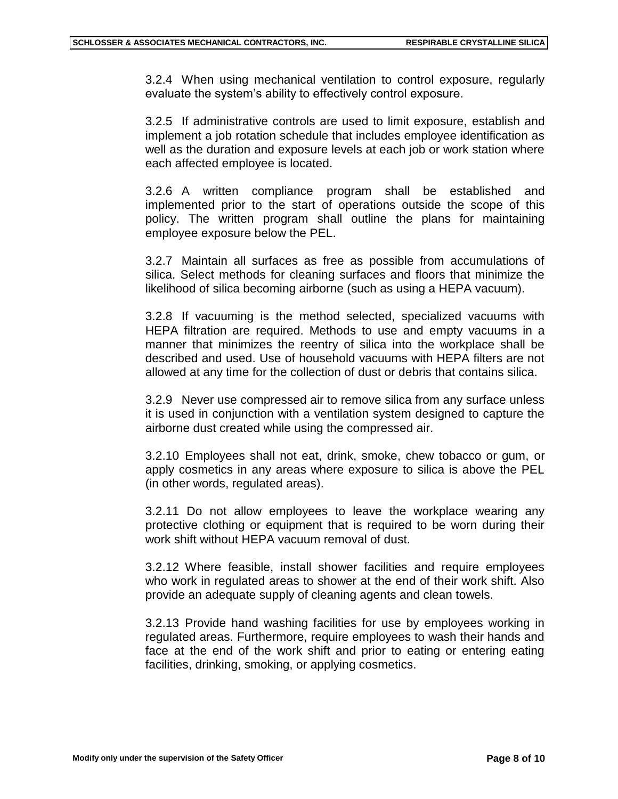3.2.4 When using mechanical ventilation to control exposure, regularly evaluate the system's ability to effectively control exposure.

3.2.5 If administrative controls are used to limit exposure, establish and implement a job rotation schedule that includes employee identification as well as the duration and exposure levels at each job or work station where each affected employee is located.

3.2.6 A written compliance program shall be established and implemented prior to the start of operations outside the scope of this policy. The written program shall outline the plans for maintaining employee exposure below the PEL.

3.2.7 Maintain all surfaces as free as possible from accumulations of silica. Select methods for cleaning surfaces and floors that minimize the likelihood of silica becoming airborne (such as using a HEPA vacuum).

3.2.8 If vacuuming is the method selected, specialized vacuums with HEPA filtration are required. Methods to use and empty vacuums in a manner that minimizes the reentry of silica into the workplace shall be described and used. Use of household vacuums with HEPA filters are not allowed at any time for the collection of dust or debris that contains silica.

3.2.9 Never use compressed air to remove silica from any surface unless it is used in conjunction with a ventilation system designed to capture the airborne dust created while using the compressed air.

3.2.10 Employees shall not eat, drink, smoke, chew tobacco or gum, or apply cosmetics in any areas where exposure to silica is above the PEL (in other words, regulated areas).

3.2.11 Do not allow employees to leave the workplace wearing any protective clothing or equipment that is required to be worn during their work shift without HEPA vacuum removal of dust.

3.2.12 Where feasible, install shower facilities and require employees who work in regulated areas to shower at the end of their work shift. Also provide an adequate supply of cleaning agents and clean towels.

3.2.13 Provide hand washing facilities for use by employees working in regulated areas. Furthermore, require employees to wash their hands and face at the end of the work shift and prior to eating or entering eating facilities, drinking, smoking, or applying cosmetics.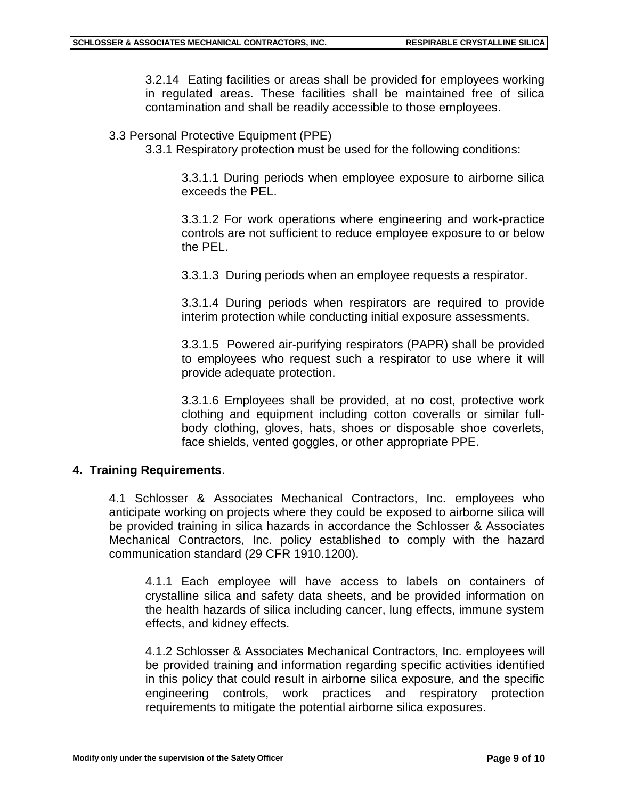3.2.14 Eating facilities or areas shall be provided for employees working in regulated areas. These facilities shall be maintained free of silica contamination and shall be readily accessible to those employees.

#### 3.3 Personal Protective Equipment (PPE)

3.3.1 Respiratory protection must be used for the following conditions:

3.3.1.1 During periods when employee exposure to airborne silica exceeds the PEL.

3.3.1.2 For work operations where engineering and work-practice controls are not sufficient to reduce employee exposure to or below the PEL.

3.3.1.3 During periods when an employee requests a respirator.

3.3.1.4 During periods when respirators are required to provide interim protection while conducting initial exposure assessments.

3.3.1.5 Powered air-purifying respirators (PAPR) shall be provided to employees who request such a respirator to use where it will provide adequate protection.

3.3.1.6 Employees shall be provided, at no cost, protective work clothing and equipment including cotton coveralls or similar fullbody clothing, gloves, hats, shoes or disposable shoe coverlets, face shields, vented goggles, or other appropriate PPE.

### **4. Training Requirements**.

4.1 Schlosser & Associates Mechanical Contractors, Inc. employees who anticipate working on projects where they could be exposed to airborne silica will be provided training in silica hazards in accordance the Schlosser & Associates Mechanical Contractors, Inc. policy established to comply with the hazard communication standard (29 CFR 1910.1200).

4.1.1 Each employee will have access to labels on containers of crystalline silica and safety data sheets, and be provided information on the health hazards of silica including cancer, lung effects, immune system effects, and kidney effects.

4.1.2 Schlosser & Associates Mechanical Contractors, Inc. employees will be provided training and information regarding specific activities identified in this policy that could result in airborne silica exposure, and the specific engineering controls, work practices and respiratory protection requirements to mitigate the potential airborne silica exposures.